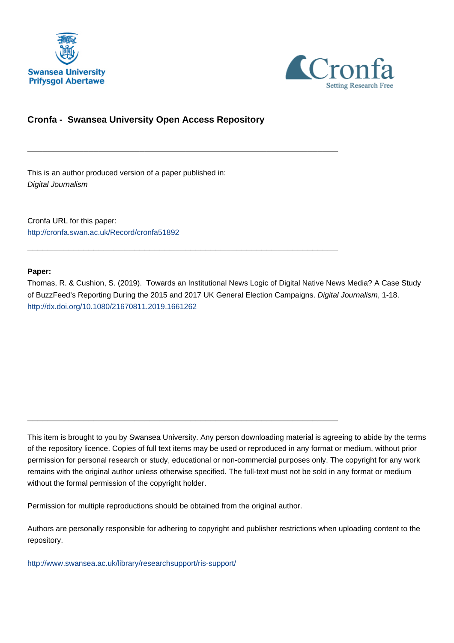



# **Cronfa - Swansea University Open Access Repository**

\_\_\_\_\_\_\_\_\_\_\_\_\_\_\_\_\_\_\_\_\_\_\_\_\_\_\_\_\_\_\_\_\_\_\_\_\_\_\_\_\_\_\_\_\_\_\_\_\_\_\_\_\_\_\_\_\_\_\_\_\_

\_\_\_\_\_\_\_\_\_\_\_\_\_\_\_\_\_\_\_\_\_\_\_\_\_\_\_\_\_\_\_\_\_\_\_\_\_\_\_\_\_\_\_\_\_\_\_\_\_\_\_\_\_\_\_\_\_\_\_\_\_

\_\_\_\_\_\_\_\_\_\_\_\_\_\_\_\_\_\_\_\_\_\_\_\_\_\_\_\_\_\_\_\_\_\_\_\_\_\_\_\_\_\_\_\_\_\_\_\_\_\_\_\_\_\_\_\_\_\_\_\_\_

This is an author produced version of a paper published in: Digital Journalism

Cronfa URL for this paper: <http://cronfa.swan.ac.uk/Record/cronfa51892>

#### **Paper:**

Thomas, R. & Cushion, S. (2019). Towards an Institutional News Logic of Digital Native News Media? A Case Study of BuzzFeed's Reporting During the 2015 and 2017 UK General Election Campaigns. Digital Journalism, 1-18. <http://dx.doi.org/10.1080/21670811.2019.1661262>

This item is brought to you by Swansea University. Any person downloading material is agreeing to abide by the terms of the repository licence. Copies of full text items may be used or reproduced in any format or medium, without prior permission for personal research or study, educational or non-commercial purposes only. The copyright for any work remains with the original author unless otherwise specified. The full-text must not be sold in any format or medium without the formal permission of the copyright holder.

Permission for multiple reproductions should be obtained from the original author.

Authors are personally responsible for adhering to copyright and publisher restrictions when uploading content to the repository.

[http://www.swansea.ac.uk/library/researchsupport/ris-support/](http://www.swansea.ac.uk/library/researchsupport/ris-support/ )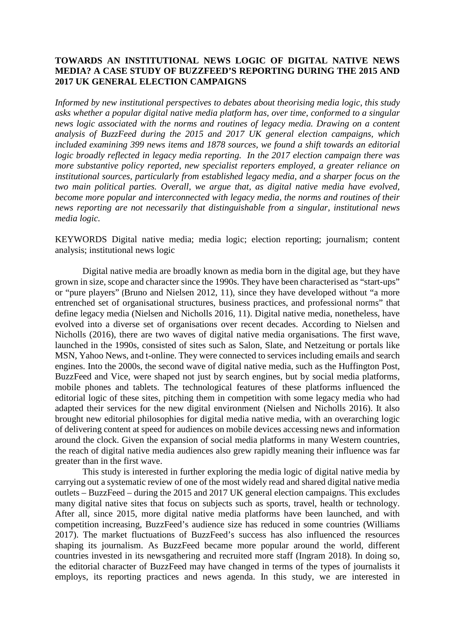## **TOWARDS AN INSTITUTIONAL NEWS LOGIC OF DIGITAL NATIVE NEWS MEDIA? A CASE STUDY OF BUZZFEED'S REPORTING DURING THE 2015 AND 2017 UK GENERAL ELECTION CAMPAIGNS**

*Informed by new institutional perspectives to debates about theorising media logic, this study asks whether a popular digital native media platform has, over time, conformed to a singular news logic associated with the norms and routines of legacy media. Drawing on a content analysis of BuzzFeed during the 2015 and 2017 UK general election campaigns, which included examining 399 news items and 1878 sources, we found a shift towards an editorial logic broadly reflected in legacy media reporting. In the 2017 election campaign there was more substantive policy reported, new specialist reporters employed, a greater reliance on institutional sources, particularly from established legacy media, and a sharper focus on the two main political parties. Overall, we argue that, as digital native media have evolved, become more popular and interconnected with legacy media, the norms and routines of their news reporting are not necessarily that distinguishable from a singular, institutional news media logic.*

KEYWORDS Digital native media; media logic; election reporting; journalism; content analysis; institutional news logic

Digital native media are broadly known as media born in the digital age, but they have grown in size, scope and character since the 1990s. They have been characterised as "start-ups" or "pure players" (Bruno and Nielsen 2012, 11), since they have developed without "a more entrenched set of organisational structures, business practices, and professional norms" that define legacy media (Nielsen and Nicholls 2016, 11). Digital native media, nonetheless, have evolved into a diverse set of organisations over recent decades. According to Nielsen and Nicholls (2016), there are two waves of digital native media organisations. The first wave, launched in the 1990s, consisted of sites such as Salon, Slate, and Netzeitung or portals like MSN, Yahoo News, and t-online. They were connected to services including emails and search engines. Into the 2000s, the second wave of digital native media, such as the Huffington Post, BuzzFeed and Vice, were shaped not just by search engines, but by social media platforms, mobile phones and tablets. The technological features of these platforms influenced the editorial logic of these sites, pitching them in competition with some legacy media who had adapted their services for the new digital environment (Nielsen and Nicholls 2016). It also brought new editorial philosophies for digital media native media, with an overarching logic of delivering content at speed for audiences on mobile devices accessing news and information around the clock. Given the expansion of social media platforms in many Western countries, the reach of digital native media audiences also grew rapidly meaning their influence was far greater than in the first wave.

This study is interested in further exploring the media logic of digital native media by carrying out a systematic review of one of the most widely read and shared digital native media outlets – BuzzFeed – during the 2015 and 2017 UK general election campaigns. This excludes many digital native sites that focus on subjects such as sports, travel, health or technology. After all, since 2015, more digital native media platforms have been launched, and with competition increasing, BuzzFeed's audience size has reduced in some countries (Williams 2017). The market fluctuations of BuzzFeed's success has also influenced the resources shaping its journalism. As BuzzFeed became more popular around the world, different countries invested in its newsgathering and recruited more staff (Ingram 2018). In doing so, the editorial character of BuzzFeed may have changed in terms of the types of journalists it employs, its reporting practices and news agenda. In this study, we are interested in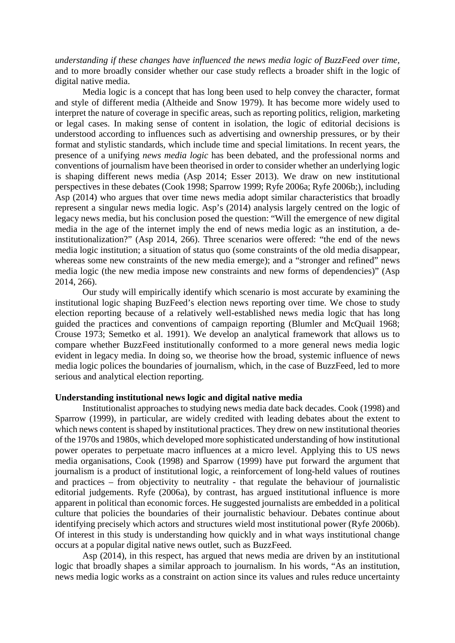*understanding if these changes have influenced the news media logic of BuzzFeed over time,* and to more broadly consider whether our case study reflects a broader shift in the logic of digital native media.

Media logic is a concept that has long been used to help convey the character, format and style of different media (Altheide and Snow 1979). It has become more widely used to interpret the nature of coverage in specific areas, such as reporting politics, religion, marketing or legal cases. In making sense of content in isolation, the logic of editorial decisions is understood according to influences such as advertising and ownership pressures, or by their format and stylistic standards, which include time and special limitations. In recent years, the presence of a unifying *news media logic* has been debated, and the professional norms and conventions of journalism have been theorised in order to consider whether an underlying logic is shaping different news media (Asp 2014; Esser 2013). We draw on new institutional perspectives in these debates (Cook 1998; Sparrow 1999; Ryfe 2006a; Ryfe 2006b;), including Asp (2014) who argues that over time news media adopt similar characteristics that broadly represent a singular news media logic. Asp's (2014) analysis largely centred on the logic of legacy news media, but his conclusion posed the question: "Will the emergence of new digital media in the age of the internet imply the end of news media logic as an institution, a deinstitutionalization?" (Asp 2014, 266). Three scenarios were offered: "the end of the news media logic institution; a situation of status quo (some constraints of the old media disappear, whereas some new constraints of the new media emerge); and a "stronger and refined" news media logic (the new media impose new constraints and new forms of dependencies)" (Asp 2014, 266).

Our study will empirically identify which scenario is most accurate by examining the institutional logic shaping BuzFeed's election news reporting over time. We chose to study election reporting because of a relatively well-established news media logic that has long guided the practices and conventions of campaign reporting (Blumler and McQuail 1968; Crouse 1973; Semetko et al. 1991). We develop an analytical framework that allows us to compare whether BuzzFeed institutionally conformed to a more general news media logic evident in legacy media. In doing so, we theorise how the broad, systemic influence of news media logic polices the boundaries of journalism, which, in the case of BuzzFeed, led to more serious and analytical election reporting.

### **Understanding institutional news logic and digital native media**

Institutionalist approaches to studying news media date back decades. Cook (1998) and Sparrow (1999), in particular, are widely credited with leading debates about the extent to which news content is shaped by institutional practices. They drew on new institutional theories of the 1970s and 1980s, which developed more sophisticated understanding of how institutional power operates to perpetuate macro influences at a micro level. Applying this to US news media organisations, Cook (1998) and Sparrow (1999) have put forward the argument that journalism is a product of institutional logic, a reinforcement of long-held values of routines and practices – from objectivity to neutrality - that regulate the behaviour of journalistic editorial judgements. Ryfe (2006a), by contrast, has argued institutional influence is more apparent in political than economic forces. He suggested journalists are embedded in a political culture that policies the boundaries of their journalistic behaviour. Debates continue about identifying precisely which actors and structures wield most institutional power (Ryfe 2006b). Of interest in this study is understanding how quickly and in what ways institutional change occurs at a popular digital native news outlet, such as BuzzFeed.

Asp (2014), in this respect, has argued that news media are driven by an institutional logic that broadly shapes a similar approach to journalism. In his words, "As an institution, news media logic works as a constraint on action since its values and rules reduce uncertainty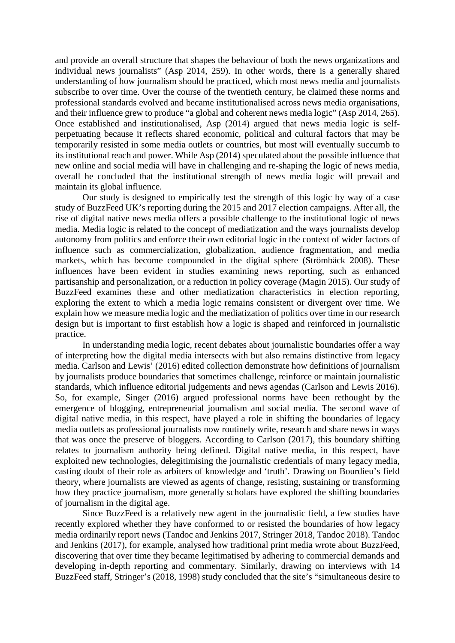and provide an overall structure that shapes the behaviour of both the news organizations and individual news journalists" (Asp 2014, 259). In other words, there is a generally shared understanding of how journalism should be practiced, which most news media and journalists subscribe to over time. Over the course of the twentieth century, he claimed these norms and professional standards evolved and became institutionalised across news media organisations, and their influence grew to produce "a global and coherent news media logic" (Asp 2014, 265). Once established and institutionalised, Asp (2014) argued that news media logic is selfperpetuating because it reflects shared economic, political and cultural factors that may be temporarily resisted in some media outlets or countries, but most will eventually succumb to its institutional reach and power. While Asp (2014) speculated about the possible influence that new online and social media will have in challenging and re-shaping the logic of news media, overall he concluded that the institutional strength of news media logic will prevail and maintain its global influence.

Our study is designed to empirically test the strength of this logic by way of a case study of BuzzFeed UK's reporting during the 2015 and 2017 election campaigns. After all, the rise of digital native news media offers a possible challenge to the institutional logic of news media. Media logic is related to the concept of mediatization and the ways journalists develop autonomy from politics and enforce their own editorial logic in the context of wider factors of influence such as commercialization, globalization, audience fragmentation, and media markets, which has become compounded in the digital sphere (Strömbäck 2008). These influences have been evident in studies examining news reporting, such as enhanced partisanship and personalization, or a reduction in policy coverage (Magin 2015). Our study of BuzzFeed examines these and other mediatization characteristics in election reporting, exploring the extent to which a media logic remains consistent or divergent over time. We explain how we measure media logic and the mediatization of politics over time in our research design but is important to first establish how a logic is shaped and reinforced in journalistic practice.

In understanding media logic, recent debates about journalistic boundaries offer a way of interpreting how the digital media intersects with but also remains distinctive from legacy media. Carlson and Lewis' (2016) edited collection demonstrate how definitions of journalism by journalists produce boundaries that sometimes challenge, reinforce or maintain journalistic standards, which influence editorial judgements and news agendas (Carlson and Lewis 2016). So, for example, Singer (2016) argued professional norms have been rethought by the emergence of blogging, entrepreneurial journalism and social media. The second wave of digital native media, in this respect, have played a role in shifting the boundaries of legacy media outlets as professional journalists now routinely write, research and share news in ways that was once the preserve of bloggers. According to Carlson (2017), this boundary shifting relates to journalism authority being defined. Digital native media, in this respect, have exploited new technologies, delegitimising the journalistic credentials of many legacy media, casting doubt of their role as arbiters of knowledge and 'truth'. Drawing on Bourdieu's field theory, where journalists are viewed as agents of change, resisting, sustaining or transforming how they practice journalism, more generally scholars have explored the shifting boundaries of journalism in the digital age.

Since BuzzFeed is a relatively new agent in the journalistic field, a few studies have recently explored whether they have conformed to or resisted the boundaries of how legacy media ordinarily report news (Tandoc and Jenkins 2017, Stringer 2018, Tandoc 2018). Tandoc and Jenkins (2017), for example, analysed how traditional print media wrote about BuzzFeed, discovering that over time they became legitimatised by adhering to commercial demands and developing in-depth reporting and commentary. Similarly, drawing on interviews with 14 BuzzFeed staff, Stringer's (2018, 1998) study concluded that the site's "simultaneous desire to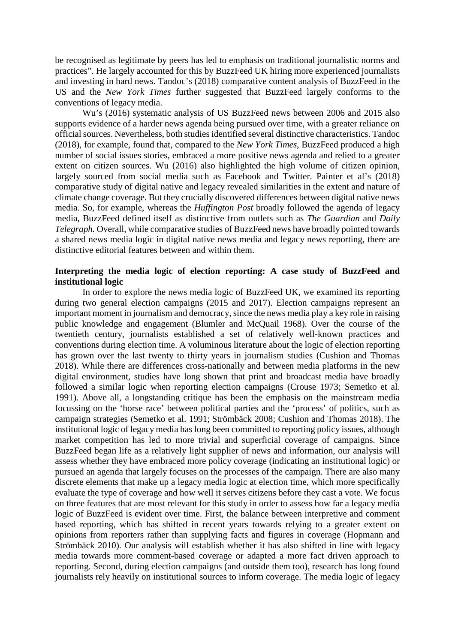be recognised as legitimate by peers has led to emphasis on traditional journalistic norms and practices". He largely accounted for this by BuzzFeed UK hiring more experienced journalists and investing in hard news. Tandoc's (2018) comparative content analysis of BuzzFeed in the US and the *New York Times* further suggested that BuzzFeed largely conforms to the conventions of legacy media.

Wu's (2016) systematic analysis of US BuzzFeed news between 2006 and 2015 also supports evidence of a harder news agenda being pursued over time, with a greater reliance on official sources. Nevertheless, both studies identified several distinctive characteristics. Tandoc (2018), for example, found that, compared to the *New York Times*, BuzzFeed produced a high number of social issues stories, embraced a more positive news agenda and relied to a greater extent on citizen sources. Wu (2016) also highlighted the high volume of citizen opinion, largely sourced from social media such as Facebook and Twitter. Painter et al's (2018) comparative study of digital native and legacy revealed similarities in the extent and nature of climate change coverage. But they crucially discovered differences between digital native news media. So, for example, whereas the *Huffington Post* broadly followed the agenda of legacy media, BuzzFeed defined itself as distinctive from outlets such as *The Guardian* and *Daily Telegraph.* Overall, while comparative studies of BuzzFeed news have broadly pointed towards a shared news media logic in digital native news media and legacy news reporting, there are distinctive editorial features between and within them.

## **Interpreting the media logic of election reporting: A case study of BuzzFeed and institutional logic**

In order to explore the news media logic of BuzzFeed UK, we examined its reporting during two general election campaigns (2015 and 2017). Election campaigns represent an important moment in journalism and democracy, since the news media play a key role in raising public knowledge and engagement (Blumler and McQuail 1968). Over the course of the twentieth century, journalists established a set of relatively well-known practices and conventions during election time. A voluminous literature about the logic of election reporting has grown over the last twenty to thirty years in journalism studies (Cushion and Thomas 2018). While there are differences cross-nationally and between media platforms in the new digital environment, studies have long shown that print and broadcast media have broadly followed a similar logic when reporting election campaigns (Crouse 1973; Semetko et al. 1991). Above all, a longstanding critique has been the emphasis on the mainstream media focussing on the 'horse race' between political parties and the 'process' of politics, such as campaign strategies (Semetko et al. 1991; Strömbäck 2008; Cushion and Thomas 2018). The institutional logic of legacy media has long been committed to reporting policy issues, although market competition has led to more trivial and superficial coverage of campaigns. Since BuzzFeed began life as a relatively light supplier of news and information, our analysis will assess whether they have embraced more policy coverage (indicating an institutional logic) or pursued an agenda that largely focuses on the processes of the campaign. There are also many discrete elements that make up a legacy media logic at election time, which more specifically evaluate the type of coverage and how well it serves citizens before they cast a vote. We focus on three features that are most relevant for this study in order to assess how far a legacy media logic of BuzzFeed is evident over time. First, the balance between interpretive and comment based reporting, which has shifted in recent years towards relying to a greater extent on opinions from reporters rather than supplying facts and figures in coverage (Hopmann and Strömbäck 2010). Our analysis will establish whether it has also shifted in line with legacy media towards more comment-based coverage or adapted a more fact driven approach to reporting. Second, during election campaigns (and outside them too), research has long found journalists rely heavily on institutional sources to inform coverage. The media logic of legacy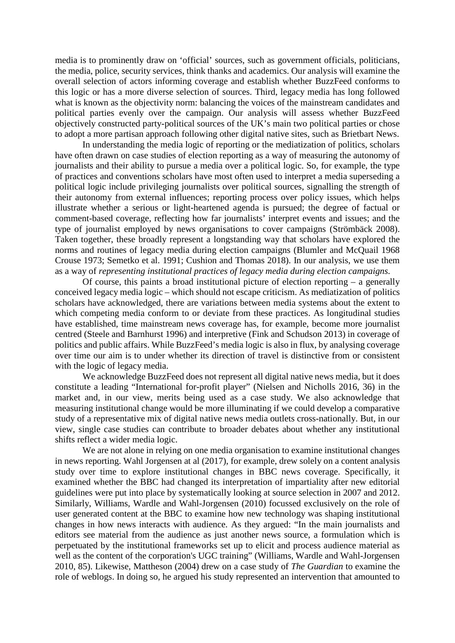media is to prominently draw on 'official' sources, such as government officials, politicians, the media, police, security services, think thanks and academics. Our analysis will examine the overall selection of actors informing coverage and establish whether BuzzFeed conforms to this logic or has a more diverse selection of sources. Third, legacy media has long followed what is known as the objectivity norm: balancing the voices of the mainstream candidates and political parties evenly over the campaign. Our analysis will assess whether BuzzFeed objectively constructed party-political sources of the UK's main two political parties or chose to adopt a more partisan approach following other digital native sites, such as Brietbart News.

In understanding the media logic of reporting or the mediatization of politics, scholars have often drawn on case studies of election reporting as a way of measuring the autonomy of journalists and their ability to pursue a media over a political logic. So, for example, the type of practices and conventions scholars have most often used to interpret a media superseding a political logic include privileging journalists over political sources, signalling the strength of their autonomy from external influences; reporting process over policy issues, which helps illustrate whether a serious or light-heartened agenda is pursued; the degree of factual or comment-based coverage, reflecting how far journalists' interpret events and issues; and the type of journalist employed by news organisations to cover campaigns (Strömbäck 2008). Taken together, these broadly represent a longstanding way that scholars have explored the norms and routines of legacy media during election campaigns (Blumler and McQuail 1968 Crouse 1973; Semetko et al. 1991; Cushion and Thomas 2018). In our analysis, we use them as a way of *representing institutional practices of legacy media during election campaigns.*

Of course, this paints a broad institutional picture of election reporting – a generally conceived legacy media logic – which should not escape criticism. As mediatization of politics scholars have acknowledged, there are variations between media systems about the extent to which competing media conform to or deviate from these practices. As longitudinal studies have established, time mainstream news coverage has, for example, become more journalist centred (Steele and Barnhurst 1996) and interpretive (Fink and Schudson 2013) in coverage of politics and public affairs. While BuzzFeed's media logic is also in flux, by analysing coverage over time our aim is to under whether its direction of travel is distinctive from or consistent with the logic of legacy media.

We acknowledge BuzzFeed does not represent all digital native news media, but it does constitute a leading "International for-profit player" (Nielsen and Nicholls 2016, 36) in the market and, in our view, merits being used as a case study. We also acknowledge that measuring institutional change would be more illuminating if we could develop a comparative study of a representative mix of digital native news media outlets cross-nationally. But, in our view, single case studies can contribute to broader debates about whether any institutional shifts reflect a wider media logic.

We are not alone in relying on one media organisation to examine institutional changes in news reporting. Wahl Jorgensen at al (2017), for example, drew solely on a content analysis study over time to explore institutional changes in BBC news coverage. Specifically, it examined whether the BBC had changed its interpretation of impartiality after new editorial guidelines were put into place by systematically looking at source selection in 2007 and 2012. Similarly, Williams, Wardle and Wahl-Jorgensen (2010) focussed exclusively on the role of user generated content at the BBC to examine how new technology was shaping institutional changes in how news interacts with audience. As they argued: "In the main journalists and editors see material from the audience as just another news source, a formulation which is perpetuated by the institutional frameworks set up to elicit and process audience material as well as the content of the corporation's UGC training" (Williams, Wardle and Wahl-Jorgensen 2010, 85). Likewise, Mattheson (2004) drew on a case study of *The Guardian* to examine the role of weblogs. In doing so, he argued his study represented an intervention that amounted to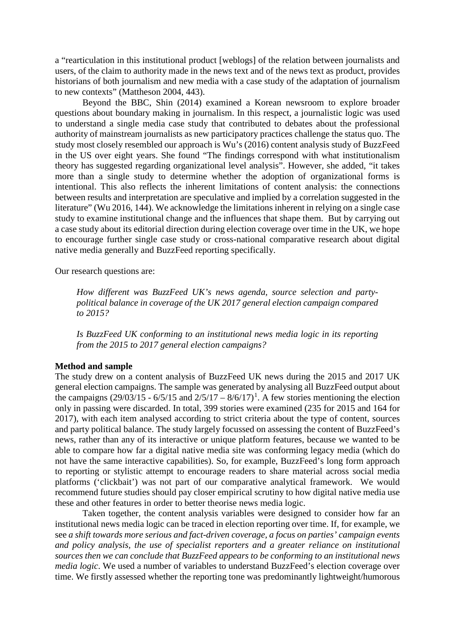a "rearticulation in this institutional product [weblogs] of the relation between journalists and users, of the claim to authority made in the news text and of the news text as product, provides historians of both journalism and new media with a case study of the adaptation of journalism to new contexts" (Mattheson 2004, 443).

Beyond the BBC, Shin (2014) examined a Korean newsroom to explore broader questions about boundary making in journalism. In this respect, a journalistic logic was used to understand a single media case study that contributed to debates about the professional authority of mainstream journalists as new participatory practices challenge the status quo. The study most closely resembled our approach is Wu's (2016) content analysis study of BuzzFeed in the US over eight years. She found "The findings correspond with what institutionalism theory has suggested regarding organizational level analysis". However, she added, "it takes more than a single study to determine whether the adoption of organizational forms is intentional. This also reflects the inherent limitations of content analysis: the connections between results and interpretation are speculative and implied by a correlation suggested in the literature" (Wu 2016, 144). We acknowledge the limitations inherent in relying on a single case study to examine institutional change and the influences that shape them. But by carrying out a case study about its editorial direction during election coverage over time in the UK, we hope to encourage further single case study or cross-national comparative research about digital native media generally and BuzzFeed reporting specifically.

Our research questions are:

*How different was BuzzFeed UK's news agenda, source selection and partypolitical balance in coverage of the UK 2017 general election campaign compared to 2015?*

*Is BuzzFeed UK conforming to an institutional news media logic in its reporting from the 2015 to 2017 general election campaigns?*

#### **Method and sample**

The study drew on a content analysis of BuzzFeed UK news during the 2015 and 2017 UK general election campaigns. The sample was generated by analysing all BuzzFeed output about the campaigns  $(29/03/15 - 6/5/15$  and  $2/5/17 - 8/6/17)^1$ . A few stories mentioning the election only in passing were discarded. In total, 399 stories were examined (235 for 2015 and 164 for 2017), with each item analysed according to strict criteria about the type of content, sources and party political balance. The study largely focussed on assessing the content of BuzzFeed's news, rather than any of its interactive or unique platform features, because we wanted to be able to compare how far a digital native media site was conforming legacy media (which do not have the same interactive capabilities). So, for example, BuzzFeed's long form approach to reporting or stylistic attempt to encourage readers to share material across social media platforms ('clickbait') was not part of our comparative analytical framework. We would recommend future studies should pay closer empirical scrutiny to how digital native media use these and other features in order to better theorise news media logic.

Taken together, the content analysis variables were designed to consider how far an institutional news media logic can be traced in election reporting over time. If, for example, we see *a shift towards more serious and fact-driven coverage, a focus on parties' campaign events and policy analysis, the use of specialist reporters and a greater reliance on institutional sources then we can conclude that BuzzFeed appears to be conforming to an institutional news media logic*. We used a number of variables to understand BuzzFeed's election coverage over time. We firstly assessed whether the reporting tone was predominantly lightweight/humorous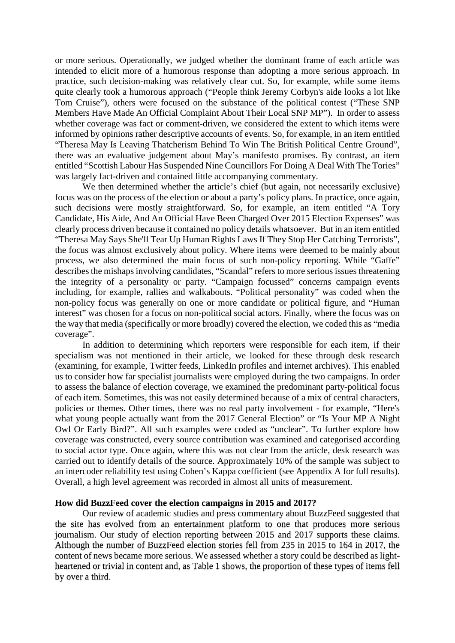or more serious. Operationally, we judged whether the dominant frame of each article was intended to elicit more of a humorous response than adopting a more serious approach. In practice, such decision-making was relatively clear cut. So, for example, while some items quite clearly took a humorous approach ("People think Jeremy Corbyn's aide looks a lot like Tom Cruise"), others were focused on the substance of the political contest ("These SNP Members Have Made An Official Complaint About Their Local SNP MP"). In order to assess whether coverage was fact or comment-driven, we considered the extent to which items were informed by opinions rather descriptive accounts of events. So, for example, in an item entitled "Theresa May Is Leaving Thatcherism Behind To Win The British Political Centre Ground", there was an evaluative judgement about May's manifesto promises. By contrast, an item entitled "Scottish Labour Has Suspended Nine Councillors For Doing A Deal With The Tories" was largely fact-driven and contained little accompanying commentary.

We then determined whether the article's chief (but again, not necessarily exclusive) focus was on the process of the election or about a party's policy plans. In practice, once again, such decisions were mostly straightforward. So, for example, an item entitled "A Tory Candidate, His Aide, And An Official Have Been Charged Over 2015 Election Expenses" was clearly process driven because it contained no policy details whatsoever. But in an item entitled "Theresa May Says She'll Tear Up Human Rights Laws If They Stop Her Catching Terrorists", the focus was almost exclusively about policy. Where items were deemed to be mainly about process, we also determined the main focus of such non-policy reporting. While "Gaffe" describes the mishaps involving candidates, "Scandal" refers to more serious issues threatening the integrity of a personality or party. "Campaign focussed" concerns campaign events including, for example, rallies and walkabouts. "Political personality" was coded when the non-policy focus was generally on one or more candidate or political figure, and "Human interest" was chosen for a focus on non-political social actors. Finally, where the focus was on the way that media (specifically or more broadly) covered the election, we coded this as "media coverage".

In addition to determining which reporters were responsible for each item, if their specialism was not mentioned in their article, we looked for these through desk research (examining, for example, Twitter feeds, LinkedIn profiles and internet archives). This enabled us to consider how far specialist journalists were employed during the two campaigns. In order to assess the balance of election coverage, we examined the predominant party-political focus of each item. Sometimes, this was not easily determined because of a mix of central characters, policies or themes. Other times, there was no real party involvement - for example, "Here's what young people actually want from the 2017 General Election" or "Is Your MP A Night Owl Or Early Bird?". All such examples were coded as "unclear". To further explore how coverage was constructed, every source contribution was examined and categorised according to social actor type. Once again, where this was not clear from the article, desk research was carried out to identify details of the source. Approximately 10% of the sample was subject to an intercoder reliability test using Cohen's Kappa coefficient (see Appendix A for full results). Overall, a high level agreement was recorded in almost all units of measurement.

#### **How did BuzzFeed cover the election campaigns in 2015 and 2017?**

Our review of academic studies and press commentary about BuzzFeed suggested that the site has evolved from an entertainment platform to one that produces more serious journalism. Our study of election reporting between 2015 and 2017 supports these claims. Although the number of BuzzFeed election stories fell from 235 in 2015 to 164 in 2017, the content of news became more serious. We assessed whether a story could be described as lightheartened or trivial in content and, as Table 1 shows, the proportion of these types of items fell by over a third.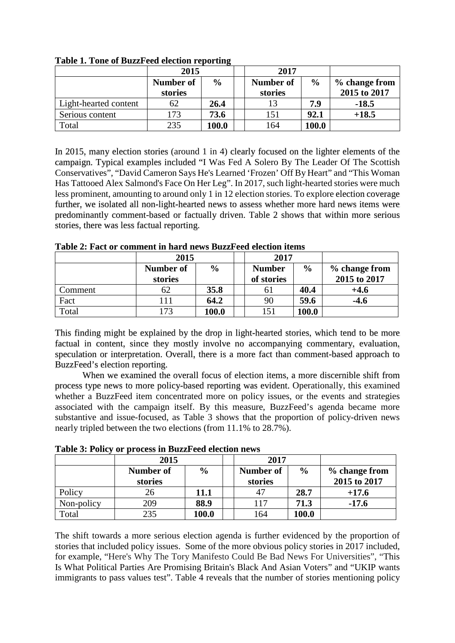|                       | 2015      |       | 2017      |               |               |
|-----------------------|-----------|-------|-----------|---------------|---------------|
|                       | Number of | $\%$  | Number of | $\frac{6}{9}$ | % change from |
|                       | stories   |       | stories   |               | 2015 to 2017  |
| Light-hearted content | 62        | 26.4  |           | 7.9           | $-18.5$       |
| Serious content       | 173       | 73.6  | 151       | 92.1          | $+18.5$       |
| Total                 | 235       | 100.0 | 164       | 100.0         |               |

**Table 1. Tone of BuzzFeed election reporting**

In 2015, many election stories (around 1 in 4) clearly focused on the lighter elements of the campaign. Typical examples included "I Was Fed A Solero By The Leader Of The Scottish Conservatives", "David Cameron Says He's Learned 'Frozen' Off By Heart" and "This Woman Has Tattooed Alex Salmond's Face On Her Leg". In 2017, such light-hearted stories were much less prominent, amounting to around only 1 in 12 election stories. To explore election coverage further, we isolated all non-light-hearted news to assess whether more hard news items were predominantly comment-based or factually driven. Table 2 shows that within more serious stories, there was less factual reporting.

|         | 2015      |               | 2017          |               |               |
|---------|-----------|---------------|---------------|---------------|---------------|
|         | Number of | $\frac{6}{6}$ | <b>Number</b> | $\frac{6}{9}$ | % change from |
|         | stories   |               | of stories    |               | 2015 to 2017  |
| Comment | 62        | 35.8          | 61            | 40.4          | $+4.6$        |
| Fact    | 111       | 64.2          | 90            | 59.6          | $-4.6$        |
| Total   | 173       | 100.0         | 151           | 100.0         |               |

**Table 2: Fact or comment in hard news BuzzFeed election items**

This finding might be explained by the drop in light-hearted stories, which tend to be more factual in content, since they mostly involve no accompanying commentary, evaluation, speculation or interpretation. Overall, there is a more fact than comment-based approach to BuzzFeed's election reporting.

When we examined the overall focus of election items, a more discernible shift from process type news to more policy-based reporting was evident. Operationally, this examined whether a BuzzFeed item concentrated more on policy issues, or the events and strategies associated with the campaign itself. By this measure, BuzzFeed's agenda became more substantive and issue-focused, as Table 3 shows that the proportion of policy-driven news nearly tripled between the two elections (from 11.1% to 28.7%).

|            | 2015                        |               |  | 2017                 |               |                               |
|------------|-----------------------------|---------------|--|----------------------|---------------|-------------------------------|
|            | <b>Number of</b><br>stories | $\frac{6}{9}$ |  | Number of<br>stories | $\frac{6}{9}$ | % change from<br>2015 to 2017 |
| Policy     | 26                          | 11.1          |  |                      | 28.7          | $+17.6$                       |
| Non-policy | 209                         | 88.9          |  | 117                  | 71.3          | $-17.6$                       |
| Total      | 235                         | 100.0         |  | 164                  | 100.0         |                               |

**Table 3: Policy or process in BuzzFeed election news**

The shift towards a more serious election agenda is further evidenced by the proportion of stories that included policy issues. Some of the more obvious policy stories in 2017 included, for example, "Here's Why The Tory Manifesto Could Be Bad News For Universities", "This Is What Political Parties Are Promising Britain's Black And Asian Voters" and "UKIP wants immigrants to pass values test". Table 4 reveals that the number of stories mentioning policy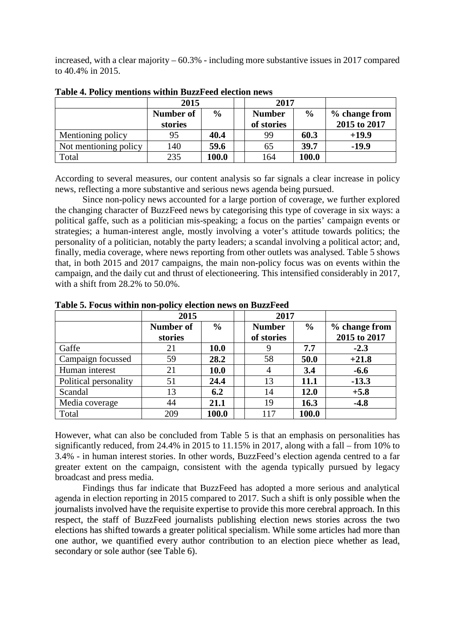increased, with a clear majority – 60.3% - including more substantive issues in 2017 compared to 40.4% in 2015.

|                       | 2015                       |       | 2017          |               |               |
|-----------------------|----------------------------|-------|---------------|---------------|---------------|
|                       | $\frac{6}{9}$<br>Number of |       | <b>Number</b> | $\frac{0}{0}$ | % change from |
|                       | stories                    |       | of stories    |               | 2015 to 2017  |
| Mentioning policy     | 95                         | 40.4  | 99            | 60.3          | $+19.9$       |
| Not mentioning policy | 140                        | 59.6  | 65            | 39.7          | $-19.9$       |
| Total                 | 235                        | 100.0 | 164           | 100.0         |               |

**Table 4. Policy mentions within BuzzFeed election news**

According to several measures, our content analysis so far signals a clear increase in policy news, reflecting a more substantive and serious news agenda being pursued.

Since non-policy news accounted for a large portion of coverage, we further explored the changing character of BuzzFeed news by categorising this type of coverage in six ways: a political gaffe, such as a politician mis-speaking; a focus on the parties' campaign events or strategies; a human-interest angle, mostly involving a voter's attitude towards politics; the personality of a politician, notably the party leaders; a scandal involving a political actor; and, finally, media coverage, where news reporting from other outlets was analysed. Table 5 shows that, in both 2015 and 2017 campaigns, the main non-policy focus was on events within the campaign, and the daily cut and thrust of electioneering. This intensified considerably in 2017, with a shift from 28.2% to 50.0%.

|                       | 2015                 |               | 2017                        |               |                               |
|-----------------------|----------------------|---------------|-----------------------------|---------------|-------------------------------|
|                       | Number of<br>stories | $\frac{0}{0}$ | <b>Number</b><br>of stories | $\frac{6}{9}$ | % change from<br>2015 to 2017 |
| Gaffe                 | 21                   | <b>10.0</b>   |                             | 7.7           | $-2.3$                        |
| Campaign focussed     | 59                   | 28.2          | 58                          | 50.0          | $+21.8$                       |
| Human interest        | 21                   | <b>10.0</b>   | $\overline{4}$              | 3.4           | $-6.6$                        |
| Political personality | 51                   | 24.4          | 13                          | 11.1          | $-13.3$                       |
| Scandal               | 13                   | 6.2           | 14                          | 12.0          | $+5.8$                        |
| Media coverage        | 44                   | 21.1          | 19                          | 16.3          | $-4.8$                        |
| Total                 | 209                  | 100.0         | 117                         | 100.0         |                               |

**Table 5. Focus within non-policy election news on BuzzFeed**

However, what can also be concluded from Table 5 is that an emphasis on personalities has significantly reduced, from 24.4% in 2015 to 11.15% in 2017, along with a fall – from 10% to 3.4% - in human interest stories. In other words, BuzzFeed's election agenda centred to a far greater extent on the campaign, consistent with the agenda typically pursued by legacy broadcast and press media.

Findings thus far indicate that BuzzFeed has adopted a more serious and analytical agenda in election reporting in 2015 compared to 2017. Such a shift is only possible when the journalists involved have the requisite expertise to provide this more cerebral approach. In this respect, the staff of BuzzFeed journalists publishing election news stories across the two elections has shifted towards a greater political specialism. While some articles had more than one author, we quantified every author contribution to an election piece whether as lead, secondary or sole author (see Table 6).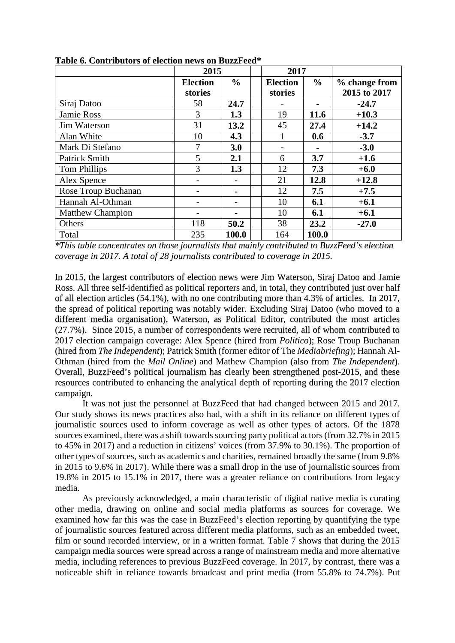|                         | 2015            |                | 2017            |               |               |
|-------------------------|-----------------|----------------|-----------------|---------------|---------------|
|                         | <b>Election</b> | $\frac{0}{0}$  | <b>Election</b> | $\frac{6}{6}$ | % change from |
|                         | stories         |                | stories         |               | 2015 to 2017  |
| Siraj Datoo             | 58              | 24.7           |                 |               | $-24.7$       |
| Jamie Ross              | 3               | 1.3            | 19              | 11.6          | $+10.3$       |
| Jim Waterson            | 31              | 13.2           | 45              | 27.4          | $+14.2$       |
| Alan White              | 10              | 4.3            |                 | 0.6           | $-3.7$        |
| Mark Di Stefano         | 7               | 3.0            |                 |               | $-3.0$        |
| <b>Patrick Smith</b>    | 5               | 2.1            | 6               | 3.7           | $+1.6$        |
| Tom Phillips            | 3               | 1.3            | 12              | 7.3           | $+6.0$        |
| Alex Spence             |                 |                | 21              | 12.8          | $+12.8$       |
| Rose Troup Buchanan     |                 | $\blacksquare$ | 12              | 7.5           | $+7.5$        |
| Hannah Al-Othman        |                 |                | 10              | 6.1           | $+6.1$        |
| <b>Matthew Champion</b> |                 |                | 10              | 6.1           | $+6.1$        |
| Others                  | 118             | 50.2           | 38              | 23.2          | $-27.0$       |
| Total                   | 235             | 100.0          | 164             | 100.0         |               |

**Table 6. Contributors of election news on BuzzFeed\***

*\*This table concentrates on those journalists that mainly contributed to BuzzFeed's election coverage in 2017. A total of 28 journalists contributed to coverage in 2015.* 

In 2015, the largest contributors of election news were Jim Waterson, Siraj Datoo and Jamie Ross. All three self-identified as political reporters and, in total, they contributed just over half of all election articles (54.1%), with no one contributing more than 4.3% of articles. In 2017, the spread of political reporting was notably wider. Excluding Siraj Datoo (who moved to a different media organisation), Waterson, as Political Editor, contributed the most articles (27.7%). Since 2015, a number of correspondents were recruited, all of whom contributed to 2017 election campaign coverage: Alex Spence (hired from *Politico*); Rose Troup Buchanan (hired from *The Independent*); Patrick Smith (former editor of The *Mediabriefing*); Hannah Al-Othman (hired from the *Mail Online*) and Mathew Champion (also from *The Independent*). Overall, BuzzFeed's political journalism has clearly been strengthened post-2015, and these resources contributed to enhancing the analytical depth of reporting during the 2017 election campaign.

It was not just the personnel at BuzzFeed that had changed between 2015 and 2017. Our study shows its news practices also had, with a shift in its reliance on different types of journalistic sources used to inform coverage as well as other types of actors. Of the 1878 sources examined, there was a shift towards sourcing party political actors (from 32.7% in 2015 to 45% in 2017) and a reduction in citizens' voices (from 37.9% to 30.1%). The proportion of other types of sources, such as academics and charities, remained broadly the same (from 9.8% in 2015 to 9.6% in 2017). While there was a small drop in the use of journalistic sources from 19.8% in 2015 to 15.1% in 2017, there was a greater reliance on contributions from legacy media.

As previously acknowledged, a main characteristic of digital native media is curating other media, drawing on online and social media platforms as sources for coverage. We examined how far this was the case in BuzzFeed's election reporting by quantifying the type of journalistic sources featured across different media platforms, such as an embedded tweet, film or sound recorded interview, or in a written format. Table 7 shows that during the 2015 campaign media sources were spread across a range of mainstream media and more alternative media, including references to previous BuzzFeed coverage. In 2017, by contrast, there was a noticeable shift in reliance towards broadcast and print media (from 55.8% to 74.7%). Put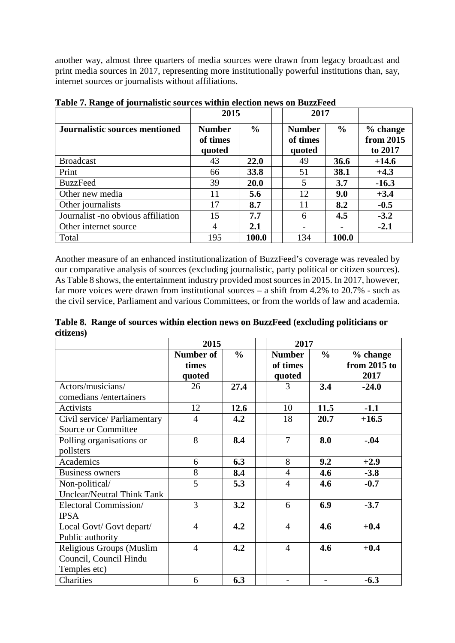another way, almost three quarters of media sources were drawn from legacy broadcast and print media sources in 2017, representing more institutionally powerful institutions than, say, internet sources or journalists without affiliations.

|                                    | 2015                                |               | 2017                                |               |                                  |
|------------------------------------|-------------------------------------|---------------|-------------------------------------|---------------|----------------------------------|
| Journalistic sources mentioned     | <b>Number</b><br>of times<br>quoted | $\frac{0}{0}$ | <b>Number</b><br>of times<br>quoted | $\frac{0}{0}$ | % change<br>from 2015<br>to 2017 |
| <b>Broadcast</b>                   | 43                                  | 22.0          | 49                                  | 36.6          | $+14.6$                          |
| Print                              | 66                                  | 33.8          | 51                                  | 38.1          | $+4.3$                           |
| <b>BuzzFeed</b>                    | 39                                  | 20.0          | 5                                   | 3.7           | $-16.3$                          |
| Other new media                    | 11                                  | 5.6           | 12                                  | 9.0           | $+3.4$                           |
| Other journalists                  | 17                                  | 8.7           | 11                                  | 8.2           | $-0.5$                           |
| Journalist -no obvious affiliation | 15                                  | 7.7           | 6                                   | 4.5           | $-3.2$                           |
| Other internet source              | 4                                   | 2.1           |                                     |               | $-2.1$                           |
| Total                              | 195                                 | 100.0         | 134                                 | 100.0         |                                  |

**Table 7. Range of journalistic sources within election news on BuzzFeed**

Another measure of an enhanced institutionalization of BuzzFeed's coverage was revealed by our comparative analysis of sources (excluding journalistic, party political or citizen sources). As Table 8 shows, the entertainment industry provided most sources in 2015. In 2017, however, far more voices were drawn from institutional sources – a shift from 4.2% to 20.7% - such as the civil service, Parliament and various Committees, or from the worlds of law and academia.

**Table 8. Range of sources within election news on BuzzFeed (excluding politicians or citizens)**

|                                   | 2015             |               | 2017           |               |              |
|-----------------------------------|------------------|---------------|----------------|---------------|--------------|
|                                   | <b>Number of</b> | $\frac{0}{0}$ | <b>Number</b>  | $\frac{6}{9}$ | % change     |
|                                   | times            |               | of times       |               | from 2015 to |
|                                   | quoted           |               | quoted         |               | 2017         |
| Actors/musicians/                 | 26               | 27.4          | 3              | 3.4           | $-24.0$      |
| comedians /entertainers           |                  |               |                |               |              |
| Activists                         | 12               | 12.6          | 10             | 11.5          | $-1.1$       |
| Civil service/ Parliamentary      | 4                | 4.2           | 18             | 20.7          | $+16.5$      |
| <b>Source or Committee</b>        |                  |               |                |               |              |
| Polling organisations or          | 8                | 8.4           | $\overline{7}$ | 8.0           | $-.04$       |
| pollsters                         |                  |               |                |               |              |
| Academics                         | 6                | 6.3           | 8              | 9.2           | $+2.9$       |
| <b>Business owners</b>            | 8                | 8.4           | $\overline{4}$ | 4.6           | $-3.8$       |
| Non-political/                    | 5                | 5.3           | $\overline{4}$ | 4.6           | $-0.7$       |
| <b>Unclear/Neutral Think Tank</b> |                  |               |                |               |              |
| Electoral Commission/             | 3                | 3.2           | 6              | 6.9           | $-3.7$       |
| <b>IPSA</b>                       |                  |               |                |               |              |
| Local Govt/Govt depart/           | $\overline{4}$   | 4.2           | $\overline{4}$ | 4.6           | $+0.4$       |
| Public authority                  |                  |               |                |               |              |
| Religious Groups (Muslim          | $\overline{4}$   | 4.2           | $\overline{4}$ | 4.6           | $+0.4$       |
| Council, Council Hindu            |                  |               |                |               |              |
| Temples etc)                      |                  |               |                |               |              |
| Charities                         | 6                | 6.3           |                |               | $-6.3$       |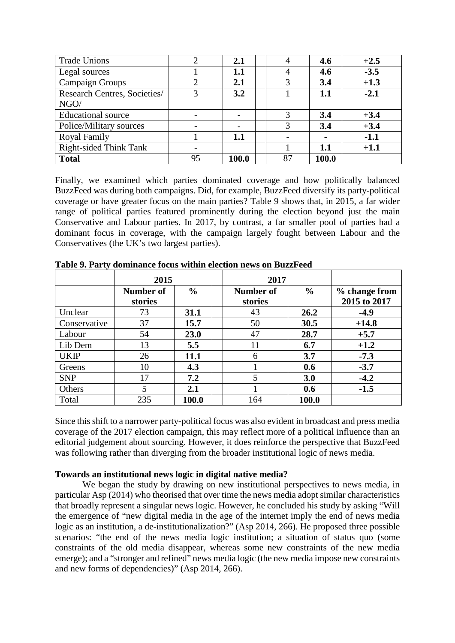| <b>Trade Unions</b>           |    | 2.1   |    | 4.6   | $+2.5$ |
|-------------------------------|----|-------|----|-------|--------|
| Legal sources                 |    | 1.1   |    | 4.6   | $-3.5$ |
| Campaign Groups               |    | 2.1   | 3  | 3.4   | $+1.3$ |
| Research Centres, Societies/  | 3  | 3.2   |    | 1.1   | $-2.1$ |
| NGO/                          |    |       |    |       |        |
| <b>Educational</b> source     |    |       |    | 3.4   | $+3.4$ |
| Police/Military sources       |    |       |    | 3.4   | $+3.4$ |
| Royal Family                  |    | 1.1   |    |       | $-1.1$ |
| <b>Right-sided Think Tank</b> |    |       |    | 1.1   | $+1.1$ |
| <b>Total</b>                  | 95 | 100.0 | 87 | 100.0 |        |

Finally, we examined which parties dominated coverage and how politically balanced BuzzFeed was during both campaigns. Did, for example, BuzzFeed diversify its party-political coverage or have greater focus on the main parties? Table 9 shows that, in 2015, a far wider range of political parties featured prominently during the election beyond just the main Conservative and Labour parties. In 2017, by contrast, a far smaller pool of parties had a dominant focus in coverage, with the campaign largely fought between Labour and the Conservatives (the UK's two largest parties).

|              | 2015      |               | 2017             |               |               |
|--------------|-----------|---------------|------------------|---------------|---------------|
|              | Number of | $\frac{6}{6}$ | <b>Number of</b> | $\frac{0}{0}$ | % change from |
|              | stories   |               | stories          |               | 2015 to 2017  |
| Unclear      | 73        | 31.1          | 43               | 26.2          | $-4.9$        |
| Conservative | 37        | 15.7          | 50               | 30.5          | $+14.8$       |
| Labour       | 54        | 23.0          | 47               | 28.7          | $+5.7$        |
| Lib Dem      | 13        | 5.5           | 11               | 6.7           | $+1.2$        |
| <b>UKIP</b>  | 26        | 11.1          | 6                | 3.7           | $-7.3$        |
| Greens       | 10        | 4.3           |                  | 0.6           | $-3.7$        |
| <b>SNP</b>   | 17        | 7.2           | 5                | 3.0           | $-4.2$        |
| Others       | 5         | 2.1           |                  | 0.6           | $-1.5$        |
| Total        | 235       | 100.0         | 164              | 100.0         |               |

**Table 9. Party dominance focus within election news on BuzzFeed**

Since this shift to a narrower party-political focus was also evident in broadcast and press media coverage of the 2017 election campaign, this may reflect more of a political influence than an editorial judgement about sourcing. However, it does reinforce the perspective that BuzzFeed was following rather than diverging from the broader institutional logic of news media.

## **Towards an institutional news logic in digital native media?**

We began the study by drawing on new institutional perspectives to news media, in particular Asp (2014) who theorised that over time the news media adopt similar characteristics that broadly represent a singular news logic. However, he concluded his study by asking "Will the emergence of "new digital media in the age of the internet imply the end of news media logic as an institution, a de-institutionalization?" (Asp 2014, 266). He proposed three possible scenarios: "the end of the news media logic institution; a situation of status quo (some constraints of the old media disappear, whereas some new constraints of the new media emerge); and a "stronger and refined" news media logic (the new media impose new constraints and new forms of dependencies)" (Asp 2014, 266).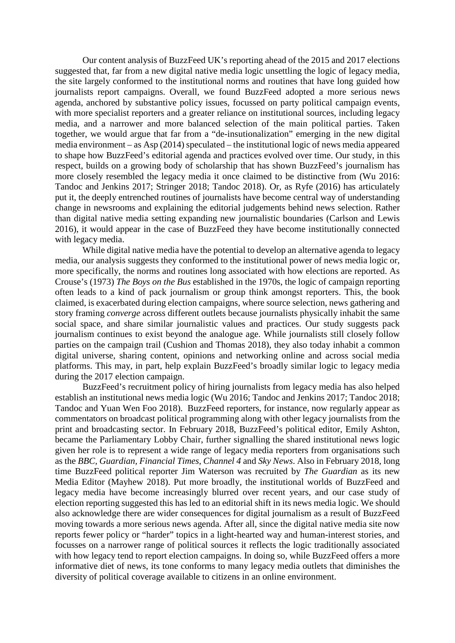Our content analysis of BuzzFeed UK's reporting ahead of the 2015 and 2017 elections suggested that, far from a new digital native media logic unsettling the logic of legacy media, the site largely conformed to the institutional norms and routines that have long guided how journalists report campaigns. Overall, we found BuzzFeed adopted a more serious news agenda, anchored by substantive policy issues, focussed on party political campaign events, with more specialist reporters and a greater reliance on institutional sources, including legacy media, and a narrower and more balanced selection of the main political parties. Taken together, we would argue that far from a "de-insutionalization" emerging in the new digital media environment – as Asp (2014) speculated – the institutional logic of news media appeared to shape how BuzzFeed's editorial agenda and practices evolved over time. Our study, in this respect, builds on a growing body of scholarship that has shown BuzzFeed's journalism has more closely resembled the legacy media it once claimed to be distinctive from (Wu 2016: Tandoc and Jenkins 2017; Stringer 2018; Tandoc 2018). Or, as Ryfe (2016) has articulately put it, the deeply entrenched routines of journalists have become central way of understanding change in newsrooms and explaining the editorial judgements behind news selection. Rather than digital native media setting expanding new journalistic boundaries (Carlson and Lewis 2016), it would appear in the case of BuzzFeed they have become institutionally connected with legacy media.

While digital native media have the potential to develop an alternative agenda to legacy media, our analysis suggests they conformed to the institutional power of news media logic or, more specifically, the norms and routines long associated with how elections are reported. As Crouse's (1973) *The Boys on the Bus* established in the 1970s, the logic of campaign reporting often leads to a kind of pack journalism or group think amongst reporters. This, the book claimed, is exacerbated during election campaigns, where source selection, news gathering and story framing *converge* across different outlets because journalists physically inhabit the same social space, and share similar journalistic values and practices. Our study suggests pack journalism continues to exist beyond the analogue age. While journalists still closely follow parties on the campaign trail (Cushion and Thomas 2018), they also today inhabit a common digital universe, sharing content, opinions and networking online and across social media platforms. This may, in part, help explain BuzzFeed's broadly similar logic to legacy media during the 2017 election campaign.

BuzzFeed's recruitment policy of hiring journalists from legacy media has also helped establish an institutional news media logic (Wu 2016; Tandoc and Jenkins 2017; Tandoc 2018; Tandoc and Yuan Wen Foo 2018). BuzzFeed reporters, for instance, now regularly appear as commentators on broadcast political programming along with other legacy journalists from the print and broadcasting sector. In February 2018, BuzzFeed's political editor, Emily Ashton, became the Parliamentary Lobby Chair, further signalling the shared institutional news logic given her role is to represent a wide range of legacy media reporters from organisations such as the *BBC, Guardian, Financial Times, Channel 4* and *Sky News*. Also in February 2018, long time BuzzFeed political reporter Jim Waterson was recruited by *The Guardian* as its new Media Editor (Mayhew 2018). Put more broadly, the institutional worlds of BuzzFeed and legacy media have become increasingly blurred over recent years, and our case study of election reporting suggested this has led to an editorial shift in its news media logic. We should also acknowledge there are wider consequences for digital journalism as a result of BuzzFeed moving towards a more serious news agenda. After all, since the digital native media site now reports fewer policy or "harder" topics in a light-hearted way and human-interest stories, and focusses on a narrower range of political sources it reflects the logic traditionally associated with how legacy tend to report election campaigns. In doing so, while BuzzFeed offers a more informative diet of news, its tone conforms to many legacy media outlets that diminishes the diversity of political coverage available to citizens in an online environment.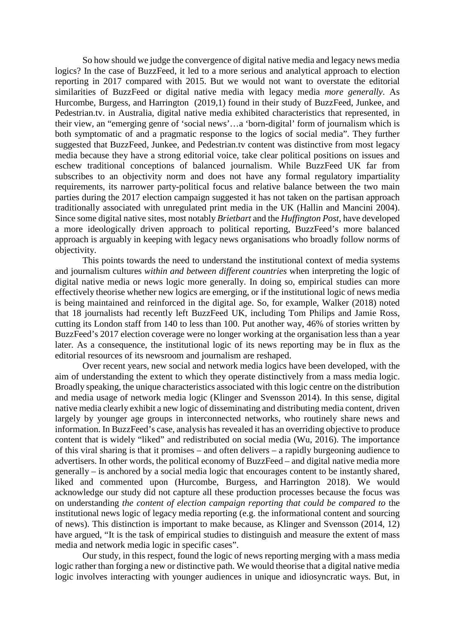So how should we judge the convergence of digital native media and legacy news media logics? In the case of BuzzFeed, it led to a more serious and analytical approach to election reporting in 2017 compared with 2015. But we would not want to overstate the editorial similarities of BuzzFeed or digital native media with legacy media *more generally*. As Hurcombe, Burgess, and Harrington (2019,1) found in their study of BuzzFeed, Junkee, and Pedestrian.tv. in Australia, digital native media exhibited characteristics that represented, in their view, an "emerging genre of 'social news'…a 'born-digital' form of journalism which is both symptomatic of and a pragmatic response to the logics of social media". They further suggested that BuzzFeed, Junkee, and Pedestrian.tv content was distinctive from most legacy media because they have a strong editorial voice, take clear political positions on issues and eschew traditional conceptions of balanced journalism. While BuzzFeed UK far from subscribes to an objectivity norm and does not have any formal regulatory impartiality requirements, its narrower party-political focus and relative balance between the two main parties during the 2017 election campaign suggested it has not taken on the partisan approach traditionally associated with unregulated print media in the UK (Hallin and Mancini 2004). Since some digital native sites, most notably *Brietbart* and the *Huffington Post*, have developed a more ideologically driven approach to political reporting, BuzzFeed's more balanced approach is arguably in keeping with legacy news organisations who broadly follow norms of objectivity.

This points towards the need to understand the institutional context of media systems and journalism cultures *within and between different countries* when interpreting the logic of digital native media or news logic more generally. In doing so, empirical studies can more effectively theorise whether new logics are emerging, or if the institutional logic of news media is being maintained and reinforced in the digital age. So, for example, Walker (2018) noted that 18 journalists had recently left BuzzFeed UK, including Tom Philips and Jamie Ross, cutting its London staff from 140 to less than 100. Put another way, 46% of stories written by BuzzFeed's 2017 election coverage were no longer working at the organisation less than a year later. As a consequence, the institutional logic of its news reporting may be in flux as the editorial resources of its newsroom and journalism are reshaped.

Over recent years, new social and network media logics have been developed, with the aim of understanding the extent to which they operate distinctively from a mass media logic. Broadly speaking, the unique characteristics associated with this logic centre on the distribution and media usage of network media logic (Klinger and Svensson 2014). In this sense, digital native media clearly exhibit a new logic of disseminating and distributing media content, driven largely by younger age groups in interconnected networks, who routinely share news and information. In BuzzFeed's case, analysis has revealed it has an overriding objective to produce content that is widely "liked" and redistributed on social media (Wu, 2016). The importance of this viral sharing is that it promises – and often delivers – a rapidly burgeoning audience to advertisers. In other words, the political economy of BuzzFeed – and digital native media more generally – is anchored by a social media logic that encourages content to be instantly shared, liked and commented upon (Hurcombe, Burgess, and Harrington 2018). We would acknowledge our study did not capture all these production processes because the focus was on understanding *the content of election campaign reporting that could be compared to* the institutional news logic of legacy media reporting (e.g. the informational content and sourcing of news). This distinction is important to make because, as Klinger and Svensson (2014, 12) have argued, "It is the task of empirical studies to distinguish and measure the extent of mass media and network media logic in specific cases".

Our study, in this respect, found the logic of news reporting merging with a mass media logic rather than forging a new or distinctive path. We would theorise that a digital native media logic involves interacting with younger audiences in unique and idiosyncratic ways. But, in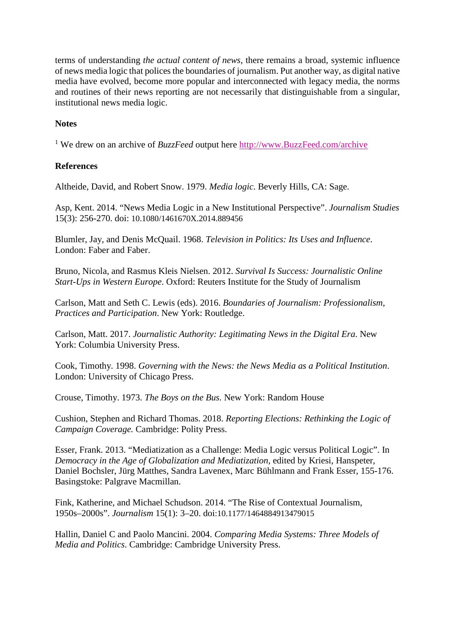terms of understanding *the actual content of news*, there remains a broad, systemic influence of news media logic that polices the boundaries of journalism. Put another way, as digital native media have evolved, become more popular and interconnected with legacy media, the norms and routines of their news reporting are not necessarily that distinguishable from a singular, institutional news media logic.

## **Notes**

<sup>1</sup> We drew on an archive of *BuzzFeed* output here http://www.BuzzFeed.com/archive

# **References**

Altheide, David, and Robert Snow. 1979. *Media logic*. Beverly Hills, CA: Sage.

Asp, Kent. 2014. "News Media Logic in a New Institutional Perspective". *Journalism Studies* 15(3): 256-270. doi: 10.1080/1461670X.2014.889456

Blumler, Jay, and Denis McQuail. 1968. *Television in Politics: Its Uses and Influence*. London: Faber and Faber.

Bruno, Nicola, and Rasmus Kleis Nielsen. 2012. *Survival Is Success: Journalistic Online Start-Ups in Western Europe*. Oxford: Reuters Institute for the Study of Journalism

Carlson, Matt and Seth C. Lewis (eds). 2016. *Boundaries of Journalism: Professionalism, Practices and Participation*. New York: Routledge.

Carlson, Matt. 2017. *Journalistic Authority: Legitimating News in the Digital Era*. New York: Columbia University Press.

Cook, Timothy. 1998. *Governing with the News: the News Media as a Political Institution*. London: University of Chicago Press.

Crouse, Timothy. 1973. *The Boys on the Bus.* New York: Random House

Cushion, Stephen and Richard Thomas. 2018. *Reporting Elections: Rethinking the Logic of Campaign Coverage.* Cambridge: Polity Press.

Esser, Frank. 2013. "Mediatization as a Challenge: Media Logic versus Political Logic". In *Democracy in the Age of Globalization and Mediatization,* edited by Kriesi, Hanspeter, Daniel Bochsler, Jürg Matthes, Sandra Lavenex, Marc Bühlmann and Frank Esser, 155-176. Basingstoke: Palgrave Macmillan.

Fink, Katherine, and Michael Schudson. 2014. "The Rise of Contextual Journalism, 1950s–2000s". *Journalism* 15(1): 3–20. doi:10.1177/1464884913479015

Hallin, Daniel C and Paolo Mancini. 2004. *Comparing Media Systems: Three Models of Media and Politics*. Cambridge: Cambridge University Press.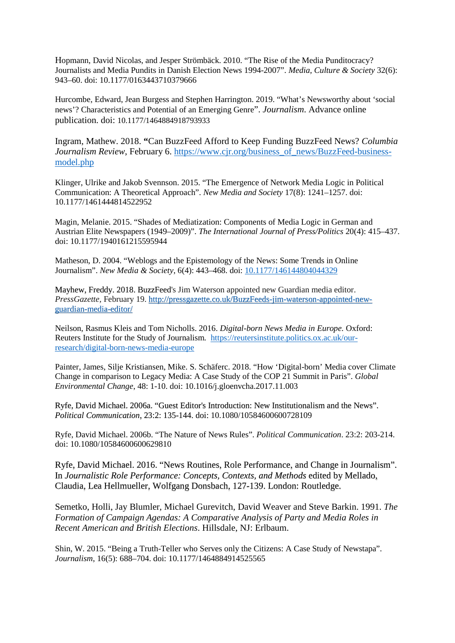Hopmann, David Nicolas, and Jesper Strömbäck. 2010. "The Rise of the Media Punditocracy? Journalists and Media Pundits in Danish Election News 1994-2007". *Media, Culture & Society* 32(6): 943–60. doi: 10.1177/0163443710379666

Hurcombe, Edward, Jean Burgess and Stephen Harrington. 2019. "What's Newsworthy about 'social news'? Characteristics and Potential of an Emerging Genre". *Journalism*. Advance online publication. doi: 10.1177/1464884918793933

Ingram, Mathew. 2018. **"**Can BuzzFeed Afford to Keep Funding BuzzFeed News? *Columbia Journalism Review*, February 6. https://www.cjr.org/business\_of\_news/BuzzFeed-businessmodel.php

Klinger, Ulrike and Jakob Svennson. 2015. "The Emergence of Network Media Logic in Political Communication: A Theoretical Approach". *New Media and Society* 17(8): 1241–1257. doi: 10.1177/1461444814522952

Magin, Melanie. 2015. "Shades of Mediatization: Components of Media Logic in German and Austrian Elite Newspapers (1949–2009)". *The International Journal of Press/Politics* 20(4): 415–437. doi: 10.1177/1940161215595944

Matheson, D. 2004. "Weblogs and the Epistemology of the News: Some Trends in Online Journalism". *New Media & Society*, 6(4): 443–468. doi: 10.1177/146144804044329

Mayhew, Freddy. 2018. BuzzFeed's Jim Waterson appointed new Guardian media editor. *PressGazette,* February 19. http://pressgazette.co.uk/BuzzFeeds-jim-waterson-appointed-newguardian-media-editor/

Neilson, Rasmus Kleis and Tom Nicholls. 2016. *Digital-born News Media in Europe.* Oxford: Reuters Institute for the Study of Journalism*.* https://reutersinstitute.politics.ox.ac.uk/ourresearch/digital-born-news-media-europe

Painter, James, Silje Kristiansen, Mike. S. Schäferc. 2018. "How 'Digital-born' Media cover Climate Change in comparison to Legacy Media: A Case Study of the COP 21 Summit in Paris". *Global Environmental Change*, 48: 1-10. doi: 10.1016/j.gloenvcha.2017.11.003

Ryfe, David Michael. 2006a. "Guest Editor's Introduction: New Institutionalism and the News". *Political Communication*, 23:2: 135-144. doi: 10.1080/10584600600728109

Ryfe, David Michael. 2006b. "The Nature of News Rules". *Political Communication*. 23:2: 203-214. doi: 10.1080/10584600600629810

Ryfe, David Michael. 2016. "News Routines, Role Performance, and Change in Journalism". In *Journalistic Role Performance: Concepts, Contexts, and Methods* edited by Mellado, Claudia, Lea Hellmueller, Wolfgang Donsbach, 127-139. London: Routledge.

Semetko, Holli, Jay Blumler, Michael Gurevitch, David Weaver and Steve Barkin. 1991. *The Formation of Campaign Agendas: A Comparative Analysis of Party and Media Roles in Recent American and British Elections*. Hillsdale, NJ: Erlbaum.

Shin, W. 2015. "Being a Truth-Teller who Serves only the Citizens: A Case Study of Newstapa". *Journalism*, 16(5): 688–704. doi: 10.1177/1464884914525565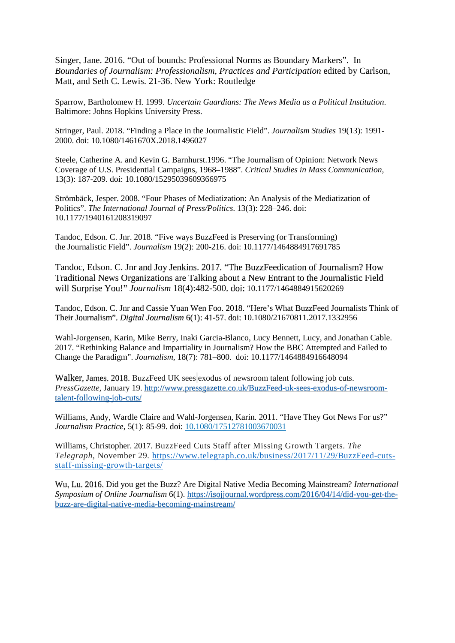Singer, Jane. 2016. "Out of bounds: Professional Norms as Boundary Markers". In *Boundaries of Journalism: Professionalism, Practices and Participation* edited by Carlson, Matt, and Seth C. Lewis. 21-36. New York: Routledge

Sparrow, Bartholomew H. 1999. *Uncertain Guardians: The News Media as a Political Institution*. Baltimore: Johns Hopkins University Press.

Stringer, Paul. 2018. "Finding a Place in the Journalistic Field". *Journalism Studies* 19(13): 1991- 2000. doi: 10.1080/1461670X.2018.1496027

Steele, Catherine A. and Kevin G. Barnhurst.1996. "The Journalism of Opinion: Network News Coverage of U.S. Presidential Campaigns, 1968–1988". *Critical Studies in Mass Communication*, 13(3): 187-209. doi: 10.1080/15295039609366975

Strömbäck, Jesper. 2008. "Four Phases of Mediatization: An Analysis of the Mediatization of Politics". *The International Journal of Press/Politics*. 13(3): 228–246. doi: 10.1177/1940161208319097

Tandoc, Edson. C. Jnr. 2018. "Five ways BuzzFeed is Preserving (or Transforming) the Journalistic Field". *Journalism* 19(2): 200-216. doi: 10.1177/1464884917691785

Tandoc, Edson. C. Jnr and Joy Jenkins. 2017. "The BuzzFeedication of Journalism? How Traditional News Organizations are Talking about a New Entrant to the Journalistic Field will Surprise You!" *Journalism* 18(4):482-500. doi: 10.1177/1464884915620269

Tandoc, Edson. C. Jnr and Cassie Yuan Wen Foo. 2018. "Here's What BuzzFeed Journalists Think of Their Journalism". *Digital Journalism* 6(1): 41-57. doi: 10.1080/21670811.2017.1332956

Wahl-Jorgensen, Karin, Mike Berry, Inaki Garcia-Blanco, Lucy Bennett, Lucy, and Jonathan Cable. 2017. "Rethinking Balance and Impartiality in Journalism? How the BBC Attempted and Failed to Change the Paradigm". *Journalism*, 18(7): 781–800. doi: 10.1177/1464884916648094

Walker, James. 2018. BuzzFeed UK sees exodus of newsroom talent following job cuts. *PressGazette,* January 19. http://www.pressgazette.co.uk/BuzzFeed-uk-sees-exodus-of-newsroomtalent-following-job-cuts/

Williams, Andy, Wardle Claire and Wahl-Jorgensen, Karin. 2011. "Have They Got News For us?" *Journalism Practice*, 5(1): 85-99. doi: 10.1080/17512781003670031

Williams, Christopher. 2017. BuzzFeed Cuts Staff after Missing Growth Targets. *The Telegraph*, November 29*.* https://www.telegraph.co.uk/business/2017/11/29/BuzzFeed-cutsstaff-missing-growth-targets/

Wu, Lu. 2016. Did you get the Buzz? Are Digital Native Media Becoming Mainstream? *International Symposium of Online Journalism* 6(1). https://isojjournal.wordpress.com/2016/04/14/did-you-get-thebuzz-are-digital-native-media-becoming-mainstream/